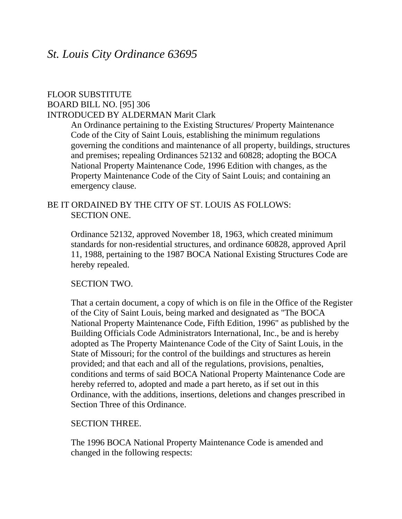# *St. Louis City Ordinance 63695*

# FLOOR SUBSTITUTE BOARD BILL NO. [95] 306 INTRODUCED BY ALDERMAN Marit Clark

An Ordinance pertaining to the Existing Structures/ Property Maintenance Code of the City of Saint Louis, establishing the minimum regulations governing the conditions and maintenance of all property, buildings, structures and premises; repealing Ordinances 52132 and 60828; adopting the BOCA National Property Maintenance Code, 1996 Edition with changes, as the Property Maintenance Code of the City of Saint Louis; and containing an emergency clause.

# BE IT ORDAINED BY THE CITY OF ST. LOUIS AS FOLLOWS: SECTION ONE.

Ordinance 52132, approved November 18, 1963, which created minimum standards for non-residential structures, and ordinance 60828, approved April 11, 1988, pertaining to the 1987 BOCA National Existing Structures Code are hereby repealed.

#### SECTION TWO.

That a certain document, a copy of which is on file in the Office of the Register of the City of Saint Louis, being marked and designated as "The BOCA National Property Maintenance Code, Fifth Edition, 1996" as published by the Building Officials Code Administrators International, Inc., be and is hereby adopted as The Property Maintenance Code of the City of Saint Louis, in the State of Missouri; for the control of the buildings and structures as herein provided; and that each and all of the regulations, provisions, penalties, conditions and terms of said BOCA National Property Maintenance Code are hereby referred to, adopted and made a part hereto, as if set out in this Ordinance, with the additions, insertions, deletions and changes prescribed in Section Three of this Ordinance.

#### SECTION THREE.

The 1996 BOCA National Property Maintenance Code is amended and changed in the following respects: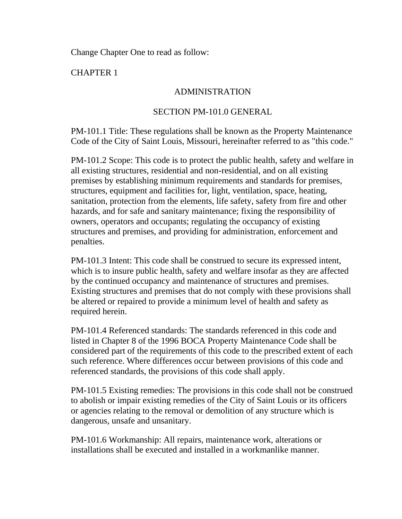Change Chapter One to read as follow:

CHAPTER 1

#### ADMINISTRATION

#### SECTION PM-101.0 GENERAL

PM-101.1 Title: These regulations shall be known as the Property Maintenance Code of the City of Saint Louis, Missouri, hereinafter referred to as "this code."

PM-101.2 Scope: This code is to protect the public health, safety and welfare in all existing structures, residential and non-residential, and on all existing premises by establishing minimum requirements and standards for premises, structures, equipment and facilities for, light, ventilation, space, heating, sanitation, protection from the elements, life safety, safety from fire and other hazards, and for safe and sanitary maintenance; fixing the responsibility of owners, operators and occupants; regulating the occupancy of existing structures and premises, and providing for administration, enforcement and penalties.

PM-101.3 Intent: This code shall be construed to secure its expressed intent, which is to insure public health, safety and welfare insofar as they are affected by the continued occupancy and maintenance of structures and premises. Existing structures and premises that do not comply with these provisions shall be altered or repaired to provide a minimum level of health and safety as required herein.

PM-101.4 Referenced standards: The standards referenced in this code and listed in Chapter 8 of the 1996 BOCA Property Maintenance Code shall be considered part of the requirements of this code to the prescribed extent of each such reference. Where differences occur between provisions of this code and referenced standards, the provisions of this code shall apply.

PM-101.5 Existing remedies: The provisions in this code shall not be construed to abolish or impair existing remedies of the City of Saint Louis or its officers or agencies relating to the removal or demolition of any structure which is dangerous, unsafe and unsanitary.

PM-101.6 Workmanship: All repairs, maintenance work, alterations or installations shall be executed and installed in a workmanlike manner.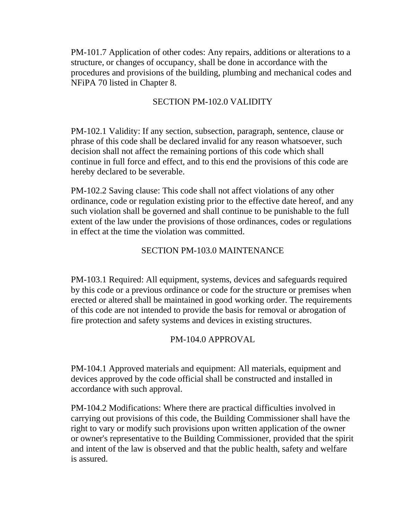PM-101.7 Application of other codes: Any repairs, additions or alterations to a structure, or changes of occupancy, shall be done in accordance with the procedures and provisions of the building, plumbing and mechanical codes and NFiPA 70 listed in Chapter 8.

# SECTION PM-102.0 VALIDITY

PM-102.1 Validity: If any section, subsection, paragraph, sentence, clause or phrase of this code shall be declared invalid for any reason whatsoever, such decision shall not affect the remaining portions of this code which shall continue in full force and effect, and to this end the provisions of this code are hereby declared to be severable.

PM-102.2 Saving clause: This code shall not affect violations of any other ordinance, code or regulation existing prior to the effective date hereof, and any such violation shall be governed and shall continue to be punishable to the full extent of the law under the provisions of those ordinances, codes or regulations in effect at the time the violation was committed.

# SECTION PM-103.0 MAINTENANCE

PM-103.1 Required: All equipment, systems, devices and safeguards required by this code or a previous ordinance or code for the structure or premises when erected or altered shall be maintained in good working order. The requirements of this code are not intended to provide the basis for removal or abrogation of fire protection and safety systems and devices in existing structures.

# PM-104.0 APPROVAL

PM-104.1 Approved materials and equipment: All materials, equipment and devices approved by the code official shall be constructed and installed in accordance with such approval.

PM-104.2 Modifications: Where there are practical difficulties involved in carrying out provisions of this code, the Building Commissioner shall have the right to vary or modify such provisions upon written application of the owner or owner's representative to the Building Commissioner, provided that the spirit and intent of the law is observed and that the public health, safety and welfare is assured.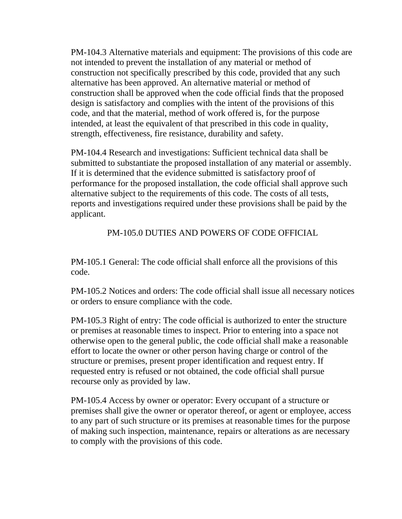PM-104.3 Alternative materials and equipment: The provisions of this code are not intended to prevent the installation of any material or method of construction not specifically prescribed by this code, provided that any such alternative has been approved. An alternative material or method of construction shall be approved when the code official finds that the proposed design is satisfactory and complies with the intent of the provisions of this code, and that the material, method of work offered is, for the purpose intended, at least the equivalent of that prescribed in this code in quality, strength, effectiveness, fire resistance, durability and safety.

PM-104.4 Research and investigations: Sufficient technical data shall be submitted to substantiate the proposed installation of any material or assembly. If it is determined that the evidence submitted is satisfactory proof of performance for the proposed installation, the code official shall approve such alternative subject to the requirements of this code. The costs of all tests, reports and investigations required under these provisions shall be paid by the applicant.

PM-105.0 DUTIES AND POWERS OF CODE OFFICIAL

PM-105.1 General: The code official shall enforce all the provisions of this code.

PM-105.2 Notices and orders: The code official shall issue all necessary notices or orders to ensure compliance with the code.

PM-105.3 Right of entry: The code official is authorized to enter the structure or premises at reasonable times to inspect. Prior to entering into a space not otherwise open to the general public, the code official shall make a reasonable effort to locate the owner or other person having charge or control of the structure or premises, present proper identification and request entry. If requested entry is refused or not obtained, the code official shall pursue recourse only as provided by law.

PM-105.4 Access by owner or operator: Every occupant of a structure or premises shall give the owner or operator thereof, or agent or employee, access to any part of such structure or its premises at reasonable times for the purpose of making such inspection, maintenance, repairs or alterations as are necessary to comply with the provisions of this code.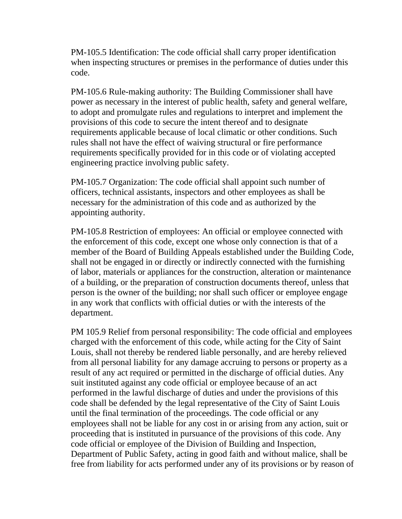PM-105.5 Identification: The code official shall carry proper identification when inspecting structures or premises in the performance of duties under this code.

PM-105.6 Rule-making authority: The Building Commissioner shall have power as necessary in the interest of public health, safety and general welfare, to adopt and promulgate rules and regulations to interpret and implement the provisions of this code to secure the intent thereof and to designate requirements applicable because of local climatic or other conditions. Such rules shall not have the effect of waiving structural or fire performance requirements specifically provided for in this code or of violating accepted engineering practice involving public safety.

PM-105.7 Organization: The code official shall appoint such number of officers, technical assistants, inspectors and other employees as shall be necessary for the administration of this code and as authorized by the appointing authority.

PM-105.8 Restriction of employees: An official or employee connected with the enforcement of this code, except one whose only connection is that of a member of the Board of Building Appeals established under the Building Code, shall not be engaged in or directly or indirectly connected with the furnishing of labor, materials or appliances for the construction, alteration or maintenance of a building, or the preparation of construction documents thereof, unless that person is the owner of the building; nor shall such officer or employee engage in any work that conflicts with official duties or with the interests of the department.

PM 105.9 Relief from personal responsibility: The code official and employees charged with the enforcement of this code, while acting for the City of Saint Louis, shall not thereby be rendered liable personally, and are hereby relieved from all personal liability for any damage accruing to persons or property as a result of any act required or permitted in the discharge of official duties. Any suit instituted against any code official or employee because of an act performed in the lawful discharge of duties and under the provisions of this code shall be defended by the legal representative of the City of Saint Louis until the final termination of the proceedings. The code official or any employees shall not be liable for any cost in or arising from any action, suit or proceeding that is instituted in pursuance of the provisions of this code. Any code official or employee of the Division of Building and Inspection, Department of Public Safety, acting in good faith and without malice, shall be free from liability for acts performed under any of its provisions or by reason of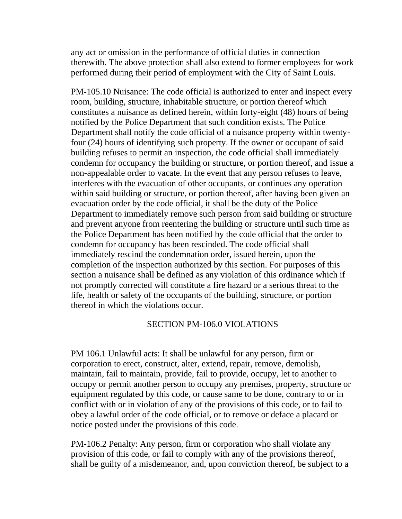any act or omission in the performance of official duties in connection therewith. The above protection shall also extend to former employees for work performed during their period of employment with the City of Saint Louis.

PM-105.10 Nuisance: The code official is authorized to enter and inspect every room, building, structure, inhabitable structure, or portion thereof which constitutes a nuisance as defined herein, within forty-eight (48) hours of being notified by the Police Department that such condition exists. The Police Department shall notify the code official of a nuisance property within twentyfour (24) hours of identifying such property. If the owner or occupant of said building refuses to permit an inspection, the code official shall immediately condemn for occupancy the building or structure, or portion thereof, and issue a non-appealable order to vacate. In the event that any person refuses to leave, interferes with the evacuation of other occupants, or continues any operation within said building or structure, or portion thereof, after having been given an evacuation order by the code official, it shall be the duty of the Police Department to immediately remove such person from said building or structure and prevent anyone from reentering the building or structure until such time as the Police Department has been notified by the code official that the order to condemn for occupancy has been rescinded. The code official shall immediately rescind the condemnation order, issued herein, upon the completion of the inspection authorized by this section. For purposes of this section a nuisance shall be defined as any violation of this ordinance which if not promptly corrected will constitute a fire hazard or a serious threat to the life, health or safety of the occupants of the building, structure, or portion thereof in which the violations occur.

#### SECTION PM-106.0 VIOLATIONS

PM 106.1 Unlawful acts: It shall be unlawful for any person, firm or corporation to erect, construct, alter, extend, repair, remove, demolish, maintain, fail to maintain, provide, fail to provide, occupy, let to another to occupy or permit another person to occupy any premises, property, structure or equipment regulated by this code, or cause same to be done, contrary to or in conflict with or in violation of any of the provisions of this code, or to fail to obey a lawful order of the code official, or to remove or deface a placard or notice posted under the provisions of this code.

PM-106.2 Penalty: Any person, firm or corporation who shall violate any provision of this code, or fail to comply with any of the provisions thereof, shall be guilty of a misdemeanor, and, upon conviction thereof, be subject to a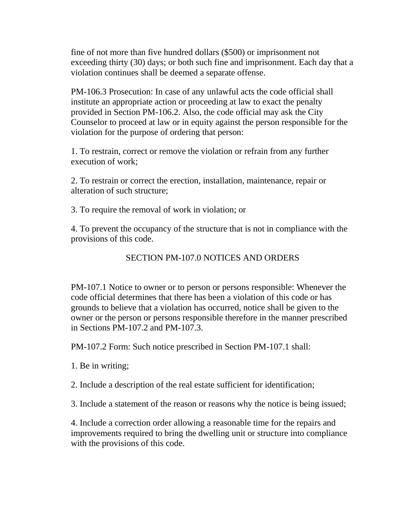fine of not more than five hundred dollars (\$500) or imprisonment not exceeding thirty (30) days; or both such fine and imprisonment. Each day that a violation continues shall be deemed a separate offense.

PM-106.3 Prosecution: In case of any unlawful acts the code official shall institute an appropriate action or proceeding at law to exact the penalty provided in Section PM-106.2. Also, the code official may ask the City Counselor to proceed at law or in equity against the person responsible for the violation for the purpose of ordering that person:

1. To restrain, correct or remove the violation or refrain from any further execution of work;

2. To restrain or correct the erection, installation, maintenance, repair or alteration of such structure;

3. To require the removal of work in violation; or

4. To prevent the occupancy of the structure that is not in compliance with the provisions of this code.

# SECTION PM-107.0 NOTICES AND ORDERS

PM-107.1 Notice to owner or to person or persons responsible: Whenever the code official determines that there has been a violation of this code or has grounds to believe that a violation has occurred, notice shall be given to the owner or the person or persons responsible therefore in the manner prescribed in Sections PM-107.2 and PM-107.3.

PM-107.2 Form: Such notice prescribed in Section PM-107.1 shall:

1. Be in writing;

2. Include a description of the real estate sufficient for identification;

3. Include a statement of the reason or reasons why the notice is being issued;

4. Include a correction order allowing a reasonable time for the repairs and improvements required to bring the dwelling unit or structure into compliance with the provisions of this code.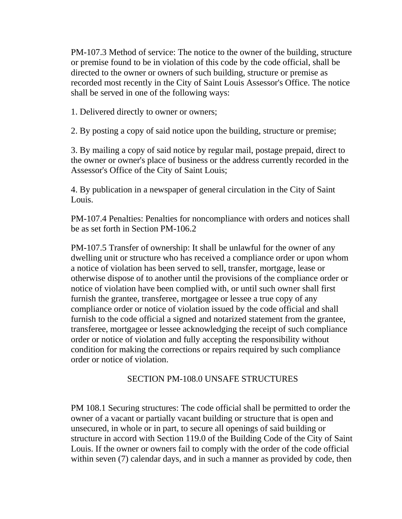PM-107.3 Method of service: The notice to the owner of the building, structure or premise found to be in violation of this code by the code official, shall be directed to the owner or owners of such building, structure or premise as recorded most recently in the City of Saint Louis Assessor's Office. The notice shall be served in one of the following ways:

1. Delivered directly to owner or owners;

2. By posting a copy of said notice upon the building, structure or premise;

3. By mailing a copy of said notice by regular mail, postage prepaid, direct to the owner or owner's place of business or the address currently recorded in the Assessor's Office of the City of Saint Louis;

4. By publication in a newspaper of general circulation in the City of Saint Louis.

PM-107.4 Penalties: Penalties for noncompliance with orders and notices shall be as set forth in Section PM-106.2

PM-107.5 Transfer of ownership: It shall be unlawful for the owner of any dwelling unit or structure who has received a compliance order or upon whom a notice of violation has been served to sell, transfer, mortgage, lease or otherwise dispose of to another until the provisions of the compliance order or notice of violation have been complied with, or until such owner shall first furnish the grantee, transferee, mortgagee or lessee a true copy of any compliance order or notice of violation issued by the code official and shall furnish to the code official a signed and notarized statement from the grantee, transferee, mortgagee or lessee acknowledging the receipt of such compliance order or notice of violation and fully accepting the responsibility without condition for making the corrections or repairs required by such compliance order or notice of violation.

# SECTION PM-108.0 UNSAFE STRUCTURES

PM 108.1 Securing structures: The code official shall be permitted to order the owner of a vacant or partially vacant building or structure that is open and unsecured, in whole or in part, to secure all openings of said building or structure in accord with Section 119.0 of the Building Code of the City of Saint Louis. If the owner or owners fail to comply with the order of the code official within seven (7) calendar days, and in such a manner as provided by code, then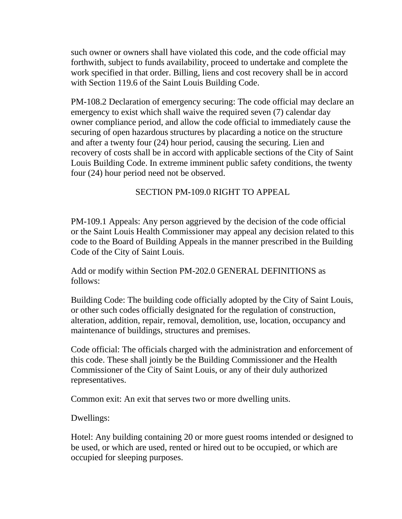such owner or owners shall have violated this code, and the code official may forthwith, subject to funds availability, proceed to undertake and complete the work specified in that order. Billing, liens and cost recovery shall be in accord with Section 119.6 of the Saint Louis Building Code.

PM-108.2 Declaration of emergency securing: The code official may declare an emergency to exist which shall waive the required seven (7) calendar day owner compliance period, and allow the code official to immediately cause the securing of open hazardous structures by placarding a notice on the structure and after a twenty four (24) hour period, causing the securing. Lien and recovery of costs shall be in accord with applicable sections of the City of Saint Louis Building Code. In extreme imminent public safety conditions, the twenty four (24) hour period need not be observed.

# SECTION PM-109.0 RIGHT TO APPEAL

PM-109.1 Appeals: Any person aggrieved by the decision of the code official or the Saint Louis Health Commissioner may appeal any decision related to this code to the Board of Building Appeals in the manner prescribed in the Building Code of the City of Saint Louis.

Add or modify within Section PM-202.0 GENERAL DEFINITIONS as follows:

Building Code: The building code officially adopted by the City of Saint Louis, or other such codes officially designated for the regulation of construction, alteration, addition, repair, removal, demolition, use, location, occupancy and maintenance of buildings, structures and premises.

Code official: The officials charged with the administration and enforcement of this code. These shall jointly be the Building Commissioner and the Health Commissioner of the City of Saint Louis, or any of their duly authorized representatives.

Common exit: An exit that serves two or more dwelling units.

Dwellings:

Hotel: Any building containing 20 or more guest rooms intended or designed to be used, or which are used, rented or hired out to be occupied, or which are occupied for sleeping purposes.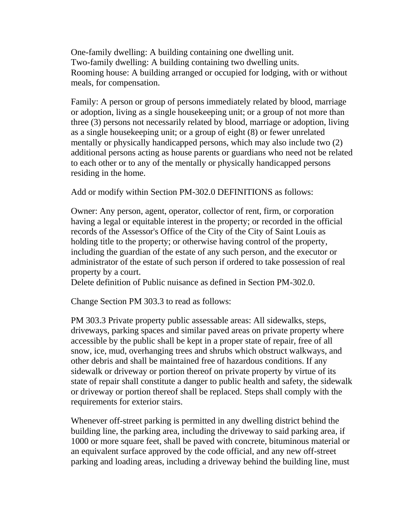One-family dwelling: A building containing one dwelling unit. Two-family dwelling: A building containing two dwelling units. Rooming house: A building arranged or occupied for lodging, with or without meals, for compensation.

Family: A person or group of persons immediately related by blood, marriage or adoption, living as a single housekeeping unit; or a group of not more than three (3) persons not necessarily related by blood, marriage or adoption, living as a single housekeeping unit; or a group of eight (8) or fewer unrelated mentally or physically handicapped persons, which may also include two (2) additional persons acting as house parents or guardians who need not be related to each other or to any of the mentally or physically handicapped persons residing in the home.

Add or modify within Section PM-302.0 DEFINITIONS as follows:

Owner: Any person, agent, operator, collector of rent, firm, or corporation having a legal or equitable interest in the property; or recorded in the official records of the Assessor's Office of the City of the City of Saint Louis as holding title to the property; or otherwise having control of the property, including the guardian of the estate of any such person, and the executor or administrator of the estate of such person if ordered to take possession of real property by a court.

Delete definition of Public nuisance as defined in Section PM-302.0.

Change Section PM 303.3 to read as follows:

PM 303.3 Private property public assessable areas: All sidewalks, steps, driveways, parking spaces and similar paved areas on private property where accessible by the public shall be kept in a proper state of repair, free of all snow, ice, mud, overhanging trees and shrubs which obstruct walkways, and other debris and shall be maintained free of hazardous conditions. If any sidewalk or driveway or portion thereof on private property by virtue of its state of repair shall constitute a danger to public health and safety, the sidewalk or driveway or portion thereof shall be replaced. Steps shall comply with the requirements for exterior stairs.

Whenever off-street parking is permitted in any dwelling district behind the building line, the parking area, including the driveway to said parking area, if 1000 or more square feet, shall be paved with concrete, bituminous material or an equivalent surface approved by the code official, and any new off-street parking and loading areas, including a driveway behind the building line, must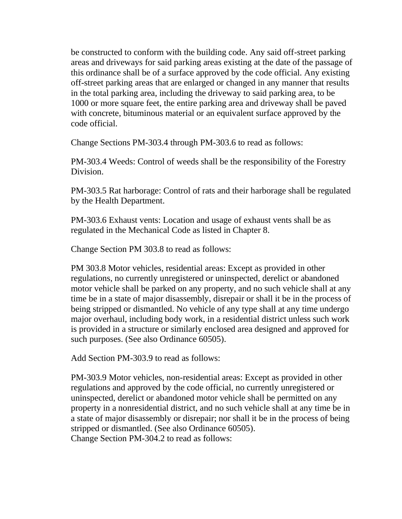be constructed to conform with the building code. Any said off-street parking areas and driveways for said parking areas existing at the date of the passage of this ordinance shall be of a surface approved by the code official. Any existing off-street parking areas that are enlarged or changed in any manner that results in the total parking area, including the driveway to said parking area, to be 1000 or more square feet, the entire parking area and driveway shall be paved with concrete, bituminous material or an equivalent surface approved by the code official.

Change Sections PM-303.4 through PM-303.6 to read as follows:

PM-303.4 Weeds: Control of weeds shall be the responsibility of the Forestry Division.

PM-303.5 Rat harborage: Control of rats and their harborage shall be regulated by the Health Department.

PM-303.6 Exhaust vents: Location and usage of exhaust vents shall be as regulated in the Mechanical Code as listed in Chapter 8.

Change Section PM 303.8 to read as follows:

PM 303.8 Motor vehicles, residential areas: Except as provided in other regulations, no currently unregistered or uninspected, derelict or abandoned motor vehicle shall be parked on any property, and no such vehicle shall at any time be in a state of major disassembly, disrepair or shall it be in the process of being stripped or dismantled. No vehicle of any type shall at any time undergo major overhaul, including body work, in a residential district unless such work is provided in a structure or similarly enclosed area designed and approved for such purposes. (See also Ordinance 60505).

Add Section PM-303.9 to read as follows:

PM-303.9 Motor vehicles, non-residential areas: Except as provided in other regulations and approved by the code official, no currently unregistered or uninspected, derelict or abandoned motor vehicle shall be permitted on any property in a nonresidential district, and no such vehicle shall at any time be in a state of major disassembly or disrepair; nor shall it be in the process of being stripped or dismantled. (See also Ordinance 60505). Change Section PM-304.2 to read as follows: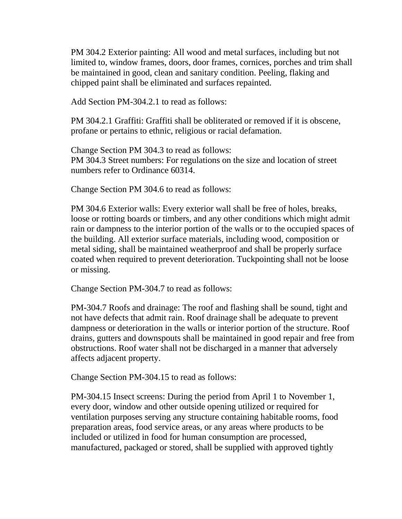PM 304.2 Exterior painting: All wood and metal surfaces, including but not limited to, window frames, doors, door frames, cornices, porches and trim shall be maintained in good, clean and sanitary condition. Peeling, flaking and chipped paint shall be eliminated and surfaces repainted.

Add Section PM-304.2.1 to read as follows:

PM 304.2.1 Graffiti: Graffiti shall be obliterated or removed if it is obscene, profane or pertains to ethnic, religious or racial defamation.

Change Section PM 304.3 to read as follows: PM 304.3 Street numbers: For regulations on the size and location of street numbers refer to Ordinance 60314.

Change Section PM 304.6 to read as follows:

PM 304.6 Exterior walls: Every exterior wall shall be free of holes, breaks, loose or rotting boards or timbers, and any other conditions which might admit rain or dampness to the interior portion of the walls or to the occupied spaces of the building. All exterior surface materials, including wood, composition or metal siding, shall be maintained weatherproof and shall be properly surface coated when required to prevent deterioration. Tuckpointing shall not be loose or missing.

Change Section PM-304.7 to read as follows:

PM-304.7 Roofs and drainage: The roof and flashing shall be sound, tight and not have defects that admit rain. Roof drainage shall be adequate to prevent dampness or deterioration in the walls or interior portion of the structure. Roof drains, gutters and downspouts shall be maintained in good repair and free from obstructions. Roof water shall not be discharged in a manner that adversely affects adjacent property.

Change Section PM-304.15 to read as follows:

PM-304.15 Insect screens: During the period from April 1 to November 1, every door, window and other outside opening utilized or required for ventilation purposes serving any structure containing habitable rooms, food preparation areas, food service areas, or any areas where products to be included or utilized in food for human consumption are processed, manufactured, packaged or stored, shall be supplied with approved tightly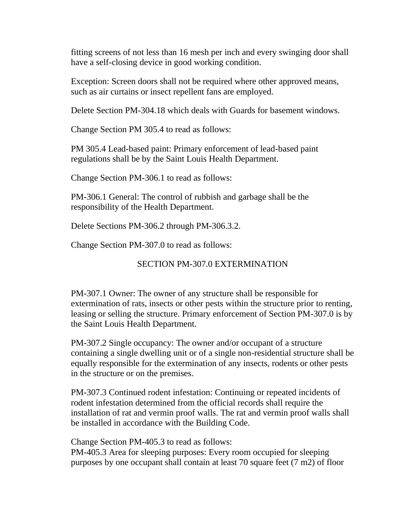fitting screens of not less than 16 mesh per inch and every swinging door shall have a self-closing device in good working condition.

Exception: Screen doors shall not be required where other approved means, such as air curtains or insect repellent fans are employed.

Delete Section PM-304.18 which deals with Guards for basement windows.

Change Section PM 305.4 to read as follows:

PM 305.4 Lead-based paint: Primary enforcement of lead-based paint regulations shall be by the Saint Louis Health Department.

Change Section PM-306.1 to read as follows:

PM-306.1 General: The control of rubbish and garbage shall be the responsibility of the Health Department.

Delete Sections PM-306.2 through PM-306.3.2.

Change Section PM-307.0 to read as follows:

# SECTION PM-307.0 EXTERMINATION

PM-307.1 Owner: The owner of any structure shall be responsible for extermination of rats, insects or other pests within the structure prior to renting, leasing or selling the structure. Primary enforcement of Section PM-307.0 is by the Saint Louis Health Department.

PM-307.2 Single occupancy: The owner and/or occupant of a structure containing a single dwelling unit or of a single non-residential structure shall be equally responsible for the extermination of any insects, rodents or other pests in the structure or on the premises.

PM-307.3 Continued rodent infestation: Continuing or repeated incidents of rodent infestation determined from the official records shall require the installation of rat and vermin proof walls. The rat and vermin proof walls shall be installed in accordance with the Building Code.

Change Section PM-405.3 to read as follows:

PM-405.3 Area for sleeping purposes: Every room occupied for sleeping purposes by one occupant shall contain at least 70 square feet (7 m2) of floor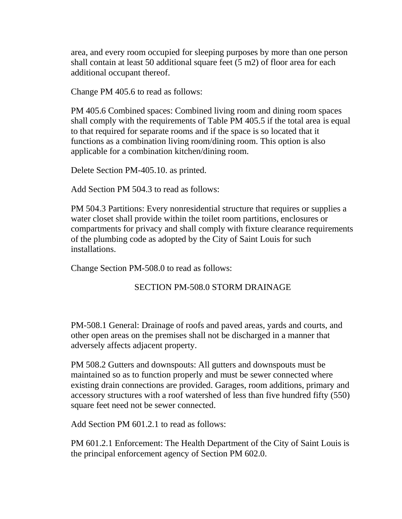area, and every room occupied for sleeping purposes by more than one person shall contain at least 50 additional square feet (5 m2) of floor area for each additional occupant thereof.

Change PM 405.6 to read as follows:

PM 405.6 Combined spaces: Combined living room and dining room spaces shall comply with the requirements of Table PM 405.5 if the total area is equal to that required for separate rooms and if the space is so located that it functions as a combination living room/dining room. This option is also applicable for a combination kitchen/dining room.

Delete Section PM-405.10. as printed.

Add Section PM 504.3 to read as follows:

PM 504.3 Partitions: Every nonresidential structure that requires or supplies a water closet shall provide within the toilet room partitions, enclosures or compartments for privacy and shall comply with fixture clearance requirements of the plumbing code as adopted by the City of Saint Louis for such installations.

Change Section PM-508.0 to read as follows:

#### SECTION PM-508.0 STORM DRAINAGE

PM-508.1 General: Drainage of roofs and paved areas, yards and courts, and other open areas on the premises shall not be discharged in a manner that adversely affects adjacent property.

PM 508.2 Gutters and downspouts: All gutters and downspouts must be maintained so as to function properly and must be sewer connected where existing drain connections are provided. Garages, room additions, primary and accessory structures with a roof watershed of less than five hundred fifty (550) square feet need not be sewer connected.

Add Section PM 601.2.1 to read as follows:

PM 601.2.1 Enforcement: The Health Department of the City of Saint Louis is the principal enforcement agency of Section PM 602.0.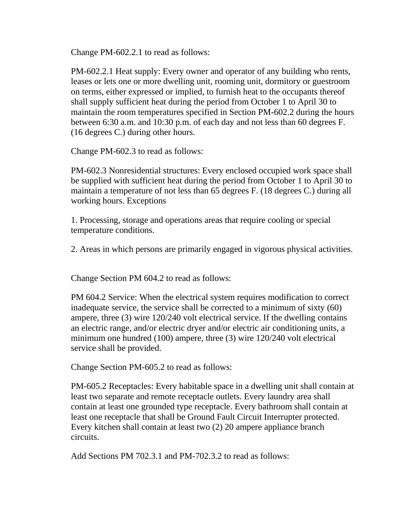Change PM-602.2.1 to read as follows:

PM-602.2.1 Heat supply: Every owner and operator of any building who rents, leases or lets one or more dwelling unit, rooming unit, dormitory or guestroom on terms, either expressed or implied, to furnish heat to the occupants thereof shall supply sufficient heat during the period from October 1 to April 30 to maintain the room temperatures specified in Section PM-602.2 during the hours between 6:30 a.m. and 10:30 p.m. of each day and not less than 60 degrees F. (16 degrees C.) during other hours.

Change PM-602.3 to read as follows:

PM-602.3 Nonresidential structures: Every enclosed occupied work space shall be supplied with sufficient heat during the period from October 1 to April 30 to maintain a temperature of not less than 65 degrees F. (18 degrees C.) during all working hours. Exceptions

1. Processing, storage and operations areas that require cooling or special temperature conditions.

2. Areas in which persons are primarily engaged in vigorous physical activities.

Change Section PM 604.2 to read as follows:

PM 604.2 Service: When the electrical system requires modification to correct inadequate service, the service shall be corrected to a minimum of sixty (60) ampere, three (3) wire 120/240 volt electrical service. If the dwelling contains an electric range, and/or electric dryer and/or electric air conditioning units, a minimum one hundred (100) ampere, three (3) wire 120/240 volt electrical service shall be provided.

Change Section PM-605.2 to read as follows:

PM-605.2 Receptacles: Every habitable space in a dwelling unit shall contain at least two separate and remote receptacle outlets. Every laundry area shall contain at least one grounded type receptacle. Every bathroom shall contain at least one receptacle that shall be Ground Fault Circuit Interrupter protected. Every kitchen shall contain at least two (2) 20 ampere appliance branch circuits.

Add Sections PM 702.3.1 and PM-702.3.2 to read as follows: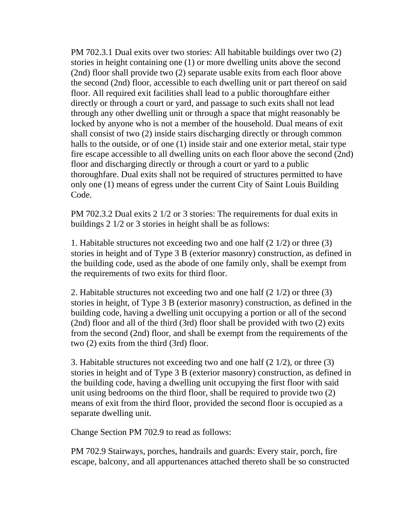PM 702.3.1 Dual exits over two stories: All habitable buildings over two (2) stories in height containing one (1) or more dwelling units above the second (2nd) floor shall provide two (2) separate usable exits from each floor above the second (2nd) floor, accessible to each dwelling unit or part thereof on said floor. All required exit facilities shall lead to a public thoroughfare either directly or through a court or yard, and passage to such exits shall not lead through any other dwelling unit or through a space that might reasonably be locked by anyone who is not a member of the household. Dual means of exit shall consist of two (2) inside stairs discharging directly or through common halls to the outside, or of one (1) inside stair and one exterior metal, stair type fire escape accessible to all dwelling units on each floor above the second (2nd) floor and discharging directly or through a court or yard to a public thoroughfare. Dual exits shall not be required of structures permitted to have only one (1) means of egress under the current City of Saint Louis Building Code.

PM 702.3.2 Dual exits 2 1/2 or 3 stories: The requirements for dual exits in buildings 2 1/2 or 3 stories in height shall be as follows:

1. Habitable structures not exceeding two and one half (2 1/2) or three (3) stories in height and of Type 3 B (exterior masonry) construction, as defined in the building code, used as the abode of one family only, shall be exempt from the requirements of two exits for third floor.

2. Habitable structures not exceeding two and one half (2 1/2) or three (3) stories in height, of Type 3 B (exterior masonry) construction, as defined in the building code, having a dwelling unit occupying a portion or all of the second (2nd) floor and all of the third (3rd) floor shall be provided with two (2) exits from the second (2nd) floor, and shall be exempt from the requirements of the two (2) exits from the third (3rd) floor.

3. Habitable structures not exceeding two and one half (2 1/2), or three (3) stories in height and of Type 3 B (exterior masonry) construction, as defined in the building code, having a dwelling unit occupying the first floor with said unit using bedrooms on the third floor, shall be required to provide two (2) means of exit from the third floor, provided the second floor is occupied as a separate dwelling unit.

Change Section PM 702.9 to read as follows:

PM 702.9 Stairways, porches, handrails and guards: Every stair, porch, fire escape, balcony, and all appurtenances attached thereto shall be so constructed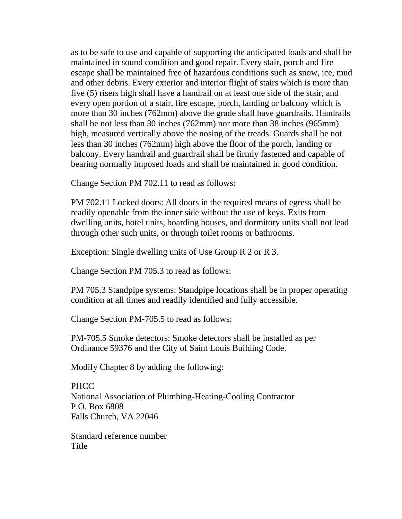as to be safe to use and capable of supporting the anticipated loads and shall be maintained in sound condition and good repair. Every stair, porch and fire escape shall be maintained free of hazardous conditions such as snow, ice, mud and other debris. Every exterior and interior flight of stairs which is more than five (5) risers high shall have a handrail on at least one side of the stair, and every open portion of a stair, fire escape, porch, landing or balcony which is more than 30 inches (762mm) above the grade shall have guardrails. Handrails shall be not less than 30 inches (762mm) nor more than 38 inches (965mm) high, measured vertically above the nosing of the treads. Guards shall be not less than 30 inches (762mm) high above the floor of the porch, landing or balcony. Every handrail and guardrail shall be firmly fastened and capable of bearing normally imposed loads and shall be maintained in good condition.

Change Section PM 702.11 to read as follows:

PM 702.11 Locked doors: All doors in the required means of egress shall be readily openable from the inner side without the use of keys. Exits from dwelling units, hotel units, boarding houses, and dormitory units shall not lead through other such units, or through toilet rooms or bathrooms.

Exception: Single dwelling units of Use Group R 2 or R 3.

Change Section PM 705.3 to read as follows:

PM 705.3 Standpipe systems: Standpipe locations shall be in proper operating condition at all times and readily identified and fully accessible.

Change Section PM-705.5 to read as follows:

PM-705.5 Smoke detectors: Smoke detectors shall be installed as per Ordinance 59376 and the City of Saint Louis Building Code.

Modify Chapter 8 by adding the following:

**PHCC** National Association of Plumbing-Heating-Cooling Contractor P.O. Box 6808 Falls Church, VA 22046

Standard reference number **Title**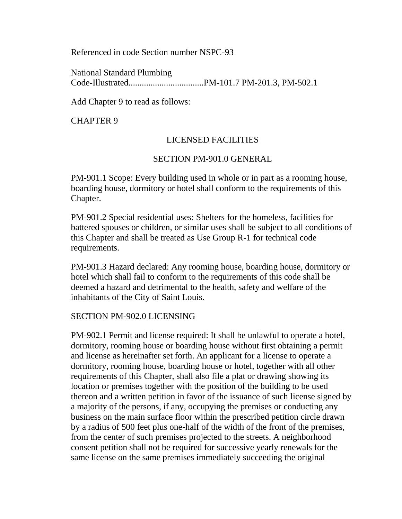Referenced in code Section number NSPC-93

National Standard Plumbing Code-Illustrated..................................PM-101.7 PM-201.3, PM-502.1

Add Chapter 9 to read as follows:

CHAPTER 9

# LICENSED FACILITIES

#### SECTION PM-901.0 GENERAL

PM-901.1 Scope: Every building used in whole or in part as a rooming house, boarding house, dormitory or hotel shall conform to the requirements of this Chapter.

PM-901.2 Special residential uses: Shelters for the homeless, facilities for battered spouses or children, or similar uses shall be subject to all conditions of this Chapter and shall be treated as Use Group R-1 for technical code requirements.

PM-901.3 Hazard declared: Any rooming house, boarding house, dormitory or hotel which shall fail to conform to the requirements of this code shall be deemed a hazard and detrimental to the health, safety and welfare of the inhabitants of the City of Saint Louis.

#### SECTION PM-902.0 LICENSING

PM-902.1 Permit and license required: It shall be unlawful to operate a hotel, dormitory, rooming house or boarding house without first obtaining a permit and license as hereinafter set forth. An applicant for a license to operate a dormitory, rooming house, boarding house or hotel, together with all other requirements of this Chapter, shall also file a plat or drawing showing its location or premises together with the position of the building to be used thereon and a written petition in favor of the issuance of such license signed by a majority of the persons, if any, occupying the premises or conducting any business on the main surface floor within the prescribed petition circle drawn by a radius of 500 feet plus one-half of the width of the front of the premises, from the center of such premises projected to the streets. A neighborhood consent petition shall not be required for successive yearly renewals for the same license on the same premises immediately succeeding the original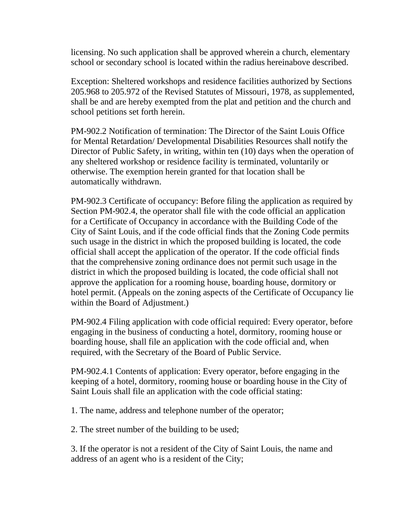licensing. No such application shall be approved wherein a church, elementary school or secondary school is located within the radius hereinabove described.

Exception: Sheltered workshops and residence facilities authorized by Sections 205.968 to 205.972 of the Revised Statutes of Missouri, 1978, as supplemented, shall be and are hereby exempted from the plat and petition and the church and school petitions set forth herein.

PM-902.2 Notification of termination: The Director of the Saint Louis Office for Mental Retardation/ Developmental Disabilities Resources shall notify the Director of Public Safety, in writing, within ten (10) days when the operation of any sheltered workshop or residence facility is terminated, voluntarily or otherwise. The exemption herein granted for that location shall be automatically withdrawn.

PM-902.3 Certificate of occupancy: Before filing the application as required by Section PM-902.4, the operator shall file with the code official an application for a Certificate of Occupancy in accordance with the Building Code of the City of Saint Louis, and if the code official finds that the Zoning Code permits such usage in the district in which the proposed building is located, the code official shall accept the application of the operator. If the code official finds that the comprehensive zoning ordinance does not permit such usage in the district in which the proposed building is located, the code official shall not approve the application for a rooming house, boarding house, dormitory or hotel permit. (Appeals on the zoning aspects of the Certificate of Occupancy lie within the Board of Adjustment.)

PM-902.4 Filing application with code official required: Every operator, before engaging in the business of conducting a hotel, dormitory, rooming house or boarding house, shall file an application with the code official and, when required, with the Secretary of the Board of Public Service.

PM-902.4.1 Contents of application: Every operator, before engaging in the keeping of a hotel, dormitory, rooming house or boarding house in the City of Saint Louis shall file an application with the code official stating:

1. The name, address and telephone number of the operator;

2. The street number of the building to be used;

3. If the operator is not a resident of the City of Saint Louis, the name and address of an agent who is a resident of the City;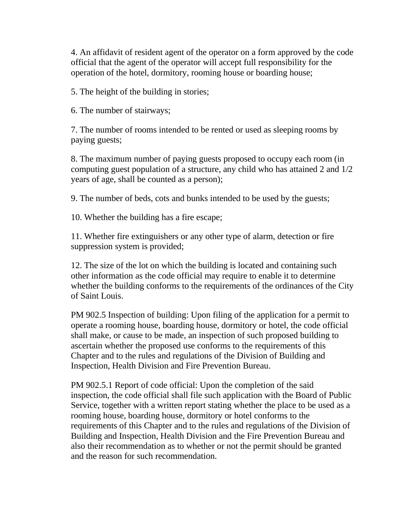4. An affidavit of resident agent of the operator on a form approved by the code official that the agent of the operator will accept full responsibility for the operation of the hotel, dormitory, rooming house or boarding house;

5. The height of the building in stories;

6. The number of stairways;

7. The number of rooms intended to be rented or used as sleeping rooms by paying guests;

8. The maximum number of paying guests proposed to occupy each room (in computing guest population of a structure, any child who has attained 2 and 1/2 years of age, shall be counted as a person);

9. The number of beds, cots and bunks intended to be used by the guests;

10. Whether the building has a fire escape;

11. Whether fire extinguishers or any other type of alarm, detection or fire suppression system is provided;

12. The size of the lot on which the building is located and containing such other information as the code official may require to enable it to determine whether the building conforms to the requirements of the ordinances of the City of Saint Louis.

PM 902.5 Inspection of building: Upon filing of the application for a permit to operate a rooming house, boarding house, dormitory or hotel, the code official shall make, or cause to be made, an inspection of such proposed building to ascertain whether the proposed use conforms to the requirements of this Chapter and to the rules and regulations of the Division of Building and Inspection, Health Division and Fire Prevention Bureau.

PM 902.5.1 Report of code official: Upon the completion of the said inspection, the code official shall file such application with the Board of Public Service, together with a written report stating whether the place to be used as a rooming house, boarding house, dormitory or hotel conforms to the requirements of this Chapter and to the rules and regulations of the Division of Building and Inspection, Health Division and the Fire Prevention Bureau and also their recommendation as to whether or not the permit should be granted and the reason for such recommendation.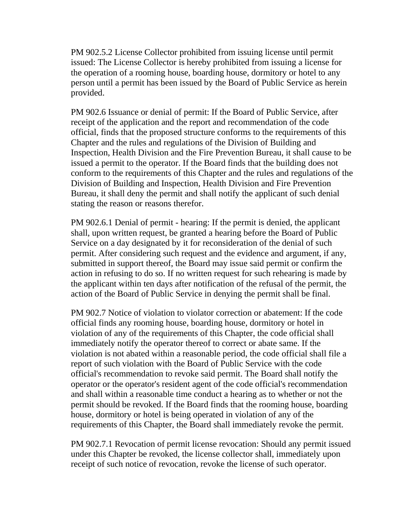PM 902.5.2 License Collector prohibited from issuing license until permit issued: The License Collector is hereby prohibited from issuing a license for the operation of a rooming house, boarding house, dormitory or hotel to any person until a permit has been issued by the Board of Public Service as herein provided.

PM 902.6 Issuance or denial of permit: If the Board of Public Service, after receipt of the application and the report and recommendation of the code official, finds that the proposed structure conforms to the requirements of this Chapter and the rules and regulations of the Division of Building and Inspection, Health Division and the Fire Prevention Bureau, it shall cause to be issued a permit to the operator. If the Board finds that the building does not conform to the requirements of this Chapter and the rules and regulations of the Division of Building and Inspection, Health Division and Fire Prevention Bureau, it shall deny the permit and shall notify the applicant of such denial stating the reason or reasons therefor.

PM 902.6.1 Denial of permit - hearing: If the permit is denied, the applicant shall, upon written request, be granted a hearing before the Board of Public Service on a day designated by it for reconsideration of the denial of such permit. After considering such request and the evidence and argument, if any, submitted in support thereof, the Board may issue said permit or confirm the action in refusing to do so. If no written request for such rehearing is made by the applicant within ten days after notification of the refusal of the permit, the action of the Board of Public Service in denying the permit shall be final.

PM 902.7 Notice of violation to violator correction or abatement: If the code official finds any rooming house, boarding house, dormitory or hotel in violation of any of the requirements of this Chapter, the code official shall immediately notify the operator thereof to correct or abate same. If the violation is not abated within a reasonable period, the code official shall file a report of such violation with the Board of Public Service with the code official's recommendation to revoke said permit. The Board shall notify the operator or the operator's resident agent of the code official's recommendation and shall within a reasonable time conduct a hearing as to whether or not the permit should be revoked. If the Board finds that the rooming house, boarding house, dormitory or hotel is being operated in violation of any of the requirements of this Chapter, the Board shall immediately revoke the permit.

PM 902.7.1 Revocation of permit license revocation: Should any permit issued under this Chapter be revoked, the license collector shall, immediately upon receipt of such notice of revocation, revoke the license of such operator.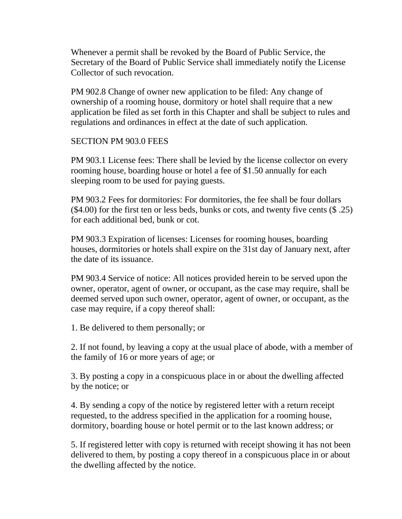Whenever a permit shall be revoked by the Board of Public Service, the Secretary of the Board of Public Service shall immediately notify the License Collector of such revocation.

PM 902.8 Change of owner new application to be filed: Any change of ownership of a rooming house, dormitory or hotel shall require that a new application be filed as set forth in this Chapter and shall be subject to rules and regulations and ordinances in effect at the date of such application.

#### SECTION PM 903.0 FEES

PM 903.1 License fees: There shall be levied by the license collector on every rooming house, boarding house or hotel a fee of \$1.50 annually for each sleeping room to be used for paying guests.

PM 903.2 Fees for dormitories: For dormitories, the fee shall be four dollars  $(\$4.00)$  for the first ten or less beds, bunks or cots, and twenty five cents  $(\$ .25)$ for each additional bed, bunk or cot.

PM 903.3 Expiration of licenses: Licenses for rooming houses, boarding houses, dormitories or hotels shall expire on the 31st day of January next, after the date of its issuance.

PM 903.4 Service of notice: All notices provided herein to be served upon the owner, operator, agent of owner, or occupant, as the case may require, shall be deemed served upon such owner, operator, agent of owner, or occupant, as the case may require, if a copy thereof shall:

1. Be delivered to them personally; or

2. If not found, by leaving a copy at the usual place of abode, with a member of the family of 16 or more years of age; or

3. By posting a copy in a conspicuous place in or about the dwelling affected by the notice; or

4. By sending a copy of the notice by registered letter with a return receipt requested, to the address specified in the application for a rooming house, dormitory, boarding house or hotel permit or to the last known address; or

5. If registered letter with copy is returned with receipt showing it has not been delivered to them, by posting a copy thereof in a conspicuous place in or about the dwelling affected by the notice.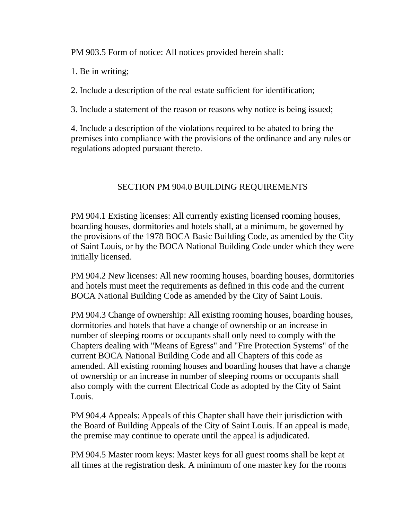PM 903.5 Form of notice: All notices provided herein shall:

1. Be in writing;

2. Include a description of the real estate sufficient for identification;

3. Include a statement of the reason or reasons why notice is being issued;

4. Include a description of the violations required to be abated to bring the premises into compliance with the provisions of the ordinance and any rules or regulations adopted pursuant thereto.

# SECTION PM 904.0 BUILDING REQUIREMENTS

PM 904.1 Existing licenses: All currently existing licensed rooming houses, boarding houses, dormitories and hotels shall, at a minimum, be governed by the provisions of the 1978 BOCA Basic Building Code, as amended by the City of Saint Louis, or by the BOCA National Building Code under which they were initially licensed.

PM 904.2 New licenses: All new rooming houses, boarding houses, dormitories and hotels must meet the requirements as defined in this code and the current BOCA National Building Code as amended by the City of Saint Louis.

PM 904.3 Change of ownership: All existing rooming houses, boarding houses, dormitories and hotels that have a change of ownership or an increase in number of sleeping rooms or occupants shall only need to comply with the Chapters dealing with "Means of Egress" and "Fire Protection Systems" of the current BOCA National Building Code and all Chapters of this code as amended. All existing rooming houses and boarding houses that have a change of ownership or an increase in number of sleeping rooms or occupants shall also comply with the current Electrical Code as adopted by the City of Saint Louis.

PM 904.4 Appeals: Appeals of this Chapter shall have their jurisdiction with the Board of Building Appeals of the City of Saint Louis. If an appeal is made, the premise may continue to operate until the appeal is adjudicated.

PM 904.5 Master room keys: Master keys for all guest rooms shall be kept at all times at the registration desk. A minimum of one master key for the rooms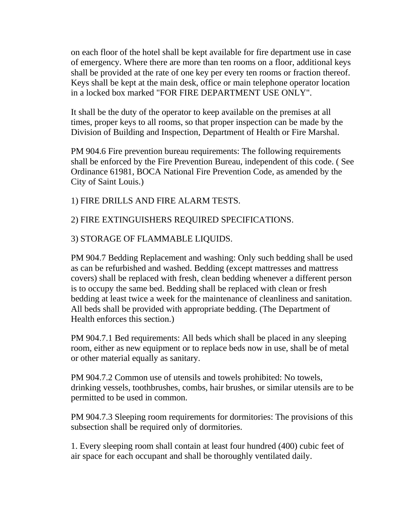on each floor of the hotel shall be kept available for fire department use in case of emergency. Where there are more than ten rooms on a floor, additional keys shall be provided at the rate of one key per every ten rooms or fraction thereof. Keys shall be kept at the main desk, office or main telephone operator location in a locked box marked "FOR FIRE DEPARTMENT USE ONLY".

It shall be the duty of the operator to keep available on the premises at all times, proper keys to all rooms, so that proper inspection can be made by the Division of Building and Inspection, Department of Health or Fire Marshal.

PM 904.6 Fire prevention bureau requirements: The following requirements shall be enforced by the Fire Prevention Bureau, independent of this code. ( See Ordinance 61981, BOCA National Fire Prevention Code, as amended by the City of Saint Louis.)

# 1) FIRE DRILLS AND FIRE ALARM TESTS.

# 2) FIRE EXTINGUISHERS REQUIRED SPECIFICATIONS.

# 3) STORAGE OF FLAMMABLE LIQUIDS.

PM 904.7 Bedding Replacement and washing: Only such bedding shall be used as can be refurbished and washed. Bedding (except mattresses and mattress covers) shall be replaced with fresh, clean bedding whenever a different person is to occupy the same bed. Bedding shall be replaced with clean or fresh bedding at least twice a week for the maintenance of cleanliness and sanitation. All beds shall be provided with appropriate bedding. (The Department of Health enforces this section.)

PM 904.7.1 Bed requirements: All beds which shall be placed in any sleeping room, either as new equipment or to replace beds now in use, shall be of metal or other material equally as sanitary.

PM 904.7.2 Common use of utensils and towels prohibited: No towels, drinking vessels, toothbrushes, combs, hair brushes, or similar utensils are to be permitted to be used in common.

PM 904.7.3 Sleeping room requirements for dormitories: The provisions of this subsection shall be required only of dormitories.

1. Every sleeping room shall contain at least four hundred (400) cubic feet of air space for each occupant and shall be thoroughly ventilated daily.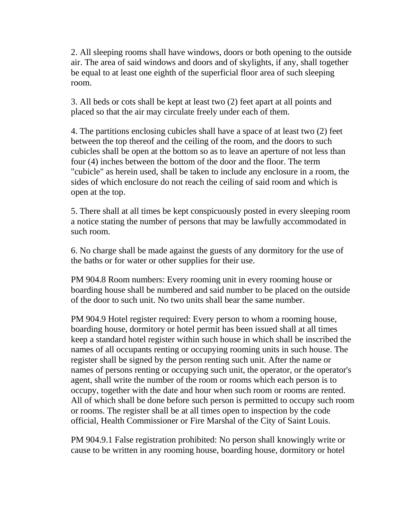2. All sleeping rooms shall have windows, doors or both opening to the outside air. The area of said windows and doors and of skylights, if any, shall together be equal to at least one eighth of the superficial floor area of such sleeping room.

3. All beds or cots shall be kept at least two (2) feet apart at all points and placed so that the air may circulate freely under each of them.

4. The partitions enclosing cubicles shall have a space of at least two (2) feet between the top thereof and the ceiling of the room, and the doors to such cubicles shall be open at the bottom so as to leave an aperture of not less than four (4) inches between the bottom of the door and the floor. The term "cubicle" as herein used, shall be taken to include any enclosure in a room, the sides of which enclosure do not reach the ceiling of said room and which is open at the top.

5. There shall at all times be kept conspicuously posted in every sleeping room a notice stating the number of persons that may be lawfully accommodated in such room.

6. No charge shall be made against the guests of any dormitory for the use of the baths or for water or other supplies for their use.

PM 904.8 Room numbers: Every rooming unit in every rooming house or boarding house shall be numbered and said number to be placed on the outside of the door to such unit. No two units shall bear the same number.

PM 904.9 Hotel register required: Every person to whom a rooming house, boarding house, dormitory or hotel permit has been issued shall at all times keep a standard hotel register within such house in which shall be inscribed the names of all occupants renting or occupying rooming units in such house. The register shall be signed by the person renting such unit. After the name or names of persons renting or occupying such unit, the operator, or the operator's agent, shall write the number of the room or rooms which each person is to occupy, together with the date and hour when such room or rooms are rented. All of which shall be done before such person is permitted to occupy such room or rooms. The register shall be at all times open to inspection by the code official, Health Commissioner or Fire Marshal of the City of Saint Louis.

PM 904.9.1 False registration prohibited: No person shall knowingly write or cause to be written in any rooming house, boarding house, dormitory or hotel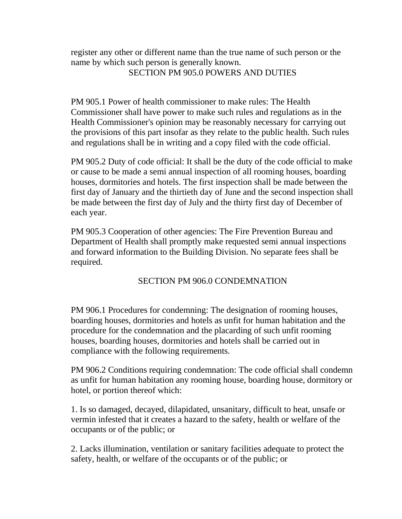register any other or different name than the true name of such person or the name by which such person is generally known. SECTION PM 905.0 POWERS AND DUTIES

PM 905.1 Power of health commissioner to make rules: The Health Commissioner shall have power to make such rules and regulations as in the Health Commissioner's opinion may be reasonably necessary for carrying out the provisions of this part insofar as they relate to the public health. Such rules and regulations shall be in writing and a copy filed with the code official.

PM 905.2 Duty of code official: It shall be the duty of the code official to make or cause to be made a semi annual inspection of all rooming houses, boarding houses, dormitories and hotels. The first inspection shall be made between the first day of January and the thirtieth day of June and the second inspection shall be made between the first day of July and the thirty first day of December of each year.

PM 905.3 Cooperation of other agencies: The Fire Prevention Bureau and Department of Health shall promptly make requested semi annual inspections and forward information to the Building Division. No separate fees shall be required.

# SECTION PM 906.0 CONDEMNATION

PM 906.1 Procedures for condemning: The designation of rooming houses, boarding houses, dormitories and hotels as unfit for human habitation and the procedure for the condemnation and the placarding of such unfit rooming houses, boarding houses, dormitories and hotels shall be carried out in compliance with the following requirements.

PM 906.2 Conditions requiring condemnation: The code official shall condemn as unfit for human habitation any rooming house, boarding house, dormitory or hotel, or portion thereof which:

1. Is so damaged, decayed, dilapidated, unsanitary, difficult to heat, unsafe or vermin infested that it creates a hazard to the safety, health or welfare of the occupants or of the public; or

2. Lacks illumination, ventilation or sanitary facilities adequate to protect the safety, health, or welfare of the occupants or of the public; or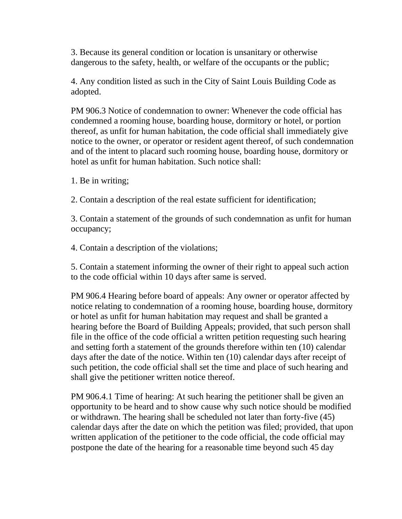3. Because its general condition or location is unsanitary or otherwise dangerous to the safety, health, or welfare of the occupants or the public;

4. Any condition listed as such in the City of Saint Louis Building Code as adopted.

PM 906.3 Notice of condemnation to owner: Whenever the code official has condemned a rooming house, boarding house, dormitory or hotel, or portion thereof, as unfit for human habitation, the code official shall immediately give notice to the owner, or operator or resident agent thereof, of such condemnation and of the intent to placard such rooming house, boarding house, dormitory or hotel as unfit for human habitation. Such notice shall:

1. Be in writing;

2. Contain a description of the real estate sufficient for identification;

3. Contain a statement of the grounds of such condemnation as unfit for human occupancy;

4. Contain a description of the violations;

5. Contain a statement informing the owner of their right to appeal such action to the code official within 10 days after same is served.

PM 906.4 Hearing before board of appeals: Any owner or operator affected by notice relating to condemnation of a rooming house, boarding house, dormitory or hotel as unfit for human habitation may request and shall be granted a hearing before the Board of Building Appeals; provided, that such person shall file in the office of the code official a written petition requesting such hearing and setting forth a statement of the grounds therefore within ten (10) calendar days after the date of the notice. Within ten (10) calendar days after receipt of such petition, the code official shall set the time and place of such hearing and shall give the petitioner written notice thereof.

PM 906.4.1 Time of hearing: At such hearing the petitioner shall be given an opportunity to be heard and to show cause why such notice should be modified or withdrawn. The hearing shall be scheduled not later than forty-five (45) calendar days after the date on which the petition was filed; provided, that upon written application of the petitioner to the code official, the code official may postpone the date of the hearing for a reasonable time beyond such 45 day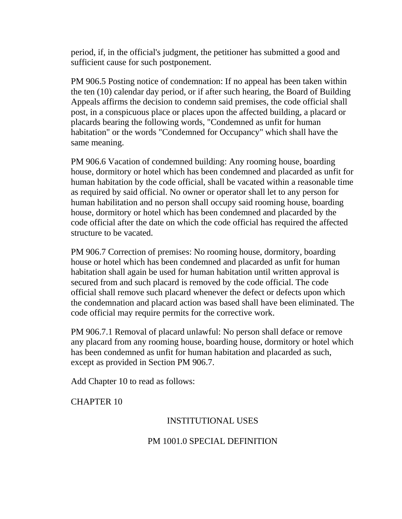period, if, in the official's judgment, the petitioner has submitted a good and sufficient cause for such postponement.

PM 906.5 Posting notice of condemnation: If no appeal has been taken within the ten (10) calendar day period, or if after such hearing, the Board of Building Appeals affirms the decision to condemn said premises, the code official shall post, in a conspicuous place or places upon the affected building, a placard or placards bearing the following words, "Condemned as unfit for human habitation" or the words "Condemned for Occupancy" which shall have the same meaning.

PM 906.6 Vacation of condemned building: Any rooming house, boarding house, dormitory or hotel which has been condemned and placarded as unfit for human habitation by the code official, shall be vacated within a reasonable time as required by said official. No owner or operator shall let to any person for human habilitation and no person shall occupy said rooming house, boarding house, dormitory or hotel which has been condemned and placarded by the code official after the date on which the code official has required the affected structure to be vacated.

PM 906.7 Correction of premises: No rooming house, dormitory, boarding house or hotel which has been condemned and placarded as unfit for human habitation shall again be used for human habitation until written approval is secured from and such placard is removed by the code official. The code official shall remove such placard whenever the defect or defects upon which the condemnation and placard action was based shall have been eliminated. The code official may require permits for the corrective work.

PM 906.7.1 Removal of placard unlawful: No person shall deface or remove any placard from any rooming house, boarding house, dormitory or hotel which has been condemned as unfit for human habitation and placarded as such, except as provided in Section PM 906.7.

Add Chapter 10 to read as follows:

CHAPTER 10

# INSTITUTIONAL USES

#### PM 1001.0 SPECIAL DEFINITION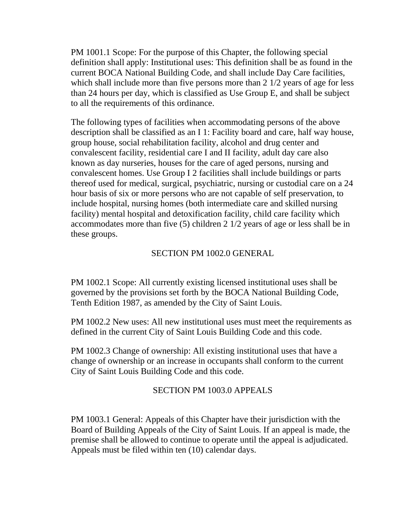PM 1001.1 Scope: For the purpose of this Chapter, the following special definition shall apply: Institutional uses: This definition shall be as found in the current BOCA National Building Code, and shall include Day Care facilities, which shall include more than five persons more than 2 1/2 years of age for less than 24 hours per day, which is classified as Use Group E, and shall be subject to all the requirements of this ordinance.

The following types of facilities when accommodating persons of the above description shall be classified as an I 1: Facility board and care, half way house, group house, social rehabilitation facility, alcohol and drug center and convalescent facility, residential care I and II facility, adult day care also known as day nurseries, houses for the care of aged persons, nursing and convalescent homes. Use Group I 2 facilities shall include buildings or parts thereof used for medical, surgical, psychiatric, nursing or custodial care on a 24 hour basis of six or more persons who are not capable of self preservation, to include hospital, nursing homes (both intermediate care and skilled nursing facility) mental hospital and detoxification facility, child care facility which accommodates more than five (5) children 2 1/2 years of age or less shall be in these groups.

# SECTION PM 1002.0 GENERAL

PM 1002.1 Scope: All currently existing licensed institutional uses shall be governed by the provisions set forth by the BOCA National Building Code, Tenth Edition 1987, as amended by the City of Saint Louis.

PM 1002.2 New uses: All new institutional uses must meet the requirements as defined in the current City of Saint Louis Building Code and this code.

PM 1002.3 Change of ownership: All existing institutional uses that have a change of ownership or an increase in occupants shall conform to the current City of Saint Louis Building Code and this code.

# SECTION PM 1003.0 APPEALS

PM 1003.1 General: Appeals of this Chapter have their jurisdiction with the Board of Building Appeals of the City of Saint Louis. If an appeal is made, the premise shall be allowed to continue to operate until the appeal is adjudicated. Appeals must be filed within ten (10) calendar days.